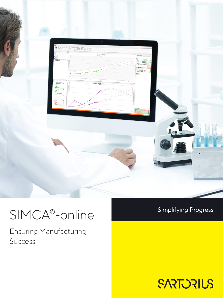

# SIMCA®-online

Ensuring Manufacturing Success

### **Simplifying Progress**

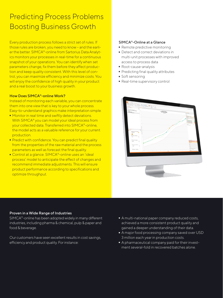# Predicting Process Problems Boosting Business Growth

Every production process follows a strict set of rules. If those rules are broken, you need to know – and the earlier the better. SIMCA®-online from Sartorius Data Analytics monitors your processes in real-time for a continuous snapshot of your operations. You can identify when set parameters change, fix them before they affect production and keep quality consistent. With this level of control, you can maximize efficiency and minimize costs. You will enjoy the confidence of high quality in your product and a real boost to your business growth.

#### How Does SIMCA®-online Work?

Instead of monitoring each variable, you can concentrate them into one view that is key to your whole process. Easy-to-understand graphics make interpretation simple.

- Monitor in real time and swiftly detect deviations. With SIMCA® you can model your ideal process from your collected data. Transferred into SIMCA®-online, the model acts as a valuable reference for your current production.
- Predict with confidence. You can predict final quality from the properties of the raw material and the process parameters as well as forecast the final quality.
- Control at a glance. SIMCA®-online uses an 'ideal process' model to anticipate the effect of changes and recommend immediate adjustments. This will ensure product performance according to specifications and optimize throughput.

#### SIMCA®-Online at a Glance

- Remote predictive monitoring<br>• Detect and correct deviations in
- Detect and correct deviations in multi-unit processes with improved access to process data
- 
- Root-cause-analysis<br>• Predicting final quali - Predicting final quality attributes
- 
- Soft sensoring<br>• Real-time sup - Real-time supervisory control



#### Proven in a Wide Range of Industries

SIMCA®-online has been adopted widely in many different industries, including pharma & chemical, pulp & paper and food & beverage.

Our customers have seen excellent results in cost savings, efficiency and product quality. For instance:

- A multi-national paper company reduced costs, achieved a more consistent product quality and gained a deeper understanding of their data.
- $\blacksquare$  A major food processing company saved over USD 3 million each year in production costs.
- A pharmaceutical company paid for their investment several-fold in recovered batches alone.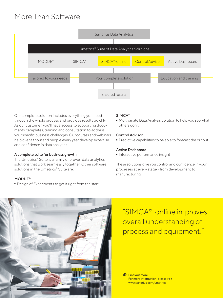# More Than Software



Our complete solution includes everything you need through the whole process and provides results quickly. As our customer, you'll have access to supporting documents, templates, training and consultation to address your specific business challenges. Our courses and webinars help over a thousand people every year develop expertise and confidence in data analytics.

#### A complete suite for business growth

The Umetrics® Suite is a family of proven data analytics solutions that work seamlessly together. Other software solutions in the Umetrics® Suite are:

#### MODDE®

- Design of Experiments to get it right from the start

#### SIMCA®

- Multivariate Data Analysis Solution to help you see what others don't

#### Control Advisor

- Predictive capabilities to be able to forecast the output

#### Active Dashboard

- Interactive performance insight

These solutions give you control and confidence in your processes at every stage - from development to manufacturing.



"SIMCA®-online improves overall understanding of process and equipment."

**R** Find out more For more information, please visit www.sartorius.com/umetrics